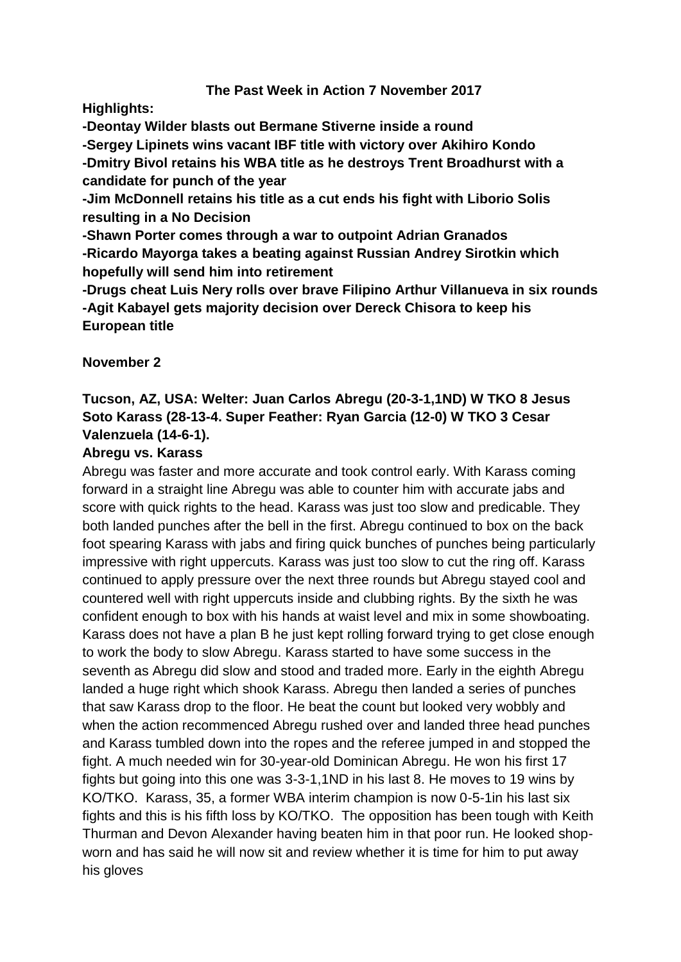## **The Past Week in Action 7 November 2017**

**Highlights:** 

**-Deontay Wilder blasts out Bermane Stiverne inside a round**

**-Sergey Lipinets wins vacant IBF title with victory over Akihiro Kondo**

**-Dmitry Bivol retains his WBA title as he destroys Trent Broadhurst with a candidate for punch of the year**

**-Jim McDonnell retains his title as a cut ends his fight with Liborio Solis resulting in a No Decision**

**-Shawn Porter comes through a war to outpoint Adrian Granados -Ricardo Mayorga takes a beating against Russian Andrey Sirotkin which hopefully will send him into retirement**

**-Drugs cheat Luis Nery rolls over brave Filipino Arthur Villanueva in six rounds -Agit Kabayel gets majority decision over Dereck Chisora to keep his European title**

**November 2** 

# **Tucson, AZ, USA: Welter: Juan Carlos Abregu (20-3-1,1ND) W TKO 8 Jesus Soto Karass (28-13-4. Super Feather: Ryan Garcia (12-0) W TKO 3 Cesar Valenzuela (14-6-1).**

### **Abregu vs. Karass**

Abregu was faster and more accurate and took control early. With Karass coming forward in a straight line Abregu was able to counter him with accurate jabs and score with quick rights to the head. Karass was just too slow and predicable. They both landed punches after the bell in the first. Abregu continued to box on the back foot spearing Karass with jabs and firing quick bunches of punches being particularly impressive with right uppercuts. Karass was just too slow to cut the ring off. Karass continued to apply pressure over the next three rounds but Abregu stayed cool and countered well with right uppercuts inside and clubbing rights. By the sixth he was confident enough to box with his hands at waist level and mix in some showboating. Karass does not have a plan B he just kept rolling forward trying to get close enough to work the body to slow Abregu. Karass started to have some success in the seventh as Abregu did slow and stood and traded more. Early in the eighth Abregu landed a huge right which shook Karass. Abregu then landed a series of punches that saw Karass drop to the floor. He beat the count but looked very wobbly and when the action recommenced Abregu rushed over and landed three head punches and Karass tumbled down into the ropes and the referee jumped in and stopped the fight. A much needed win for 30-year-old Dominican Abregu. He won his first 17 fights but going into this one was 3-3-1,1ND in his last 8. He moves to 19 wins by KO/TKO. Karass, 35, a former WBA interim champion is now 0-5-1in his last six fights and this is his fifth loss by KO/TKO. The opposition has been tough with Keith Thurman and Devon Alexander having beaten him in that poor run. He looked shopworn and has said he will now sit and review whether it is time for him to put away his gloves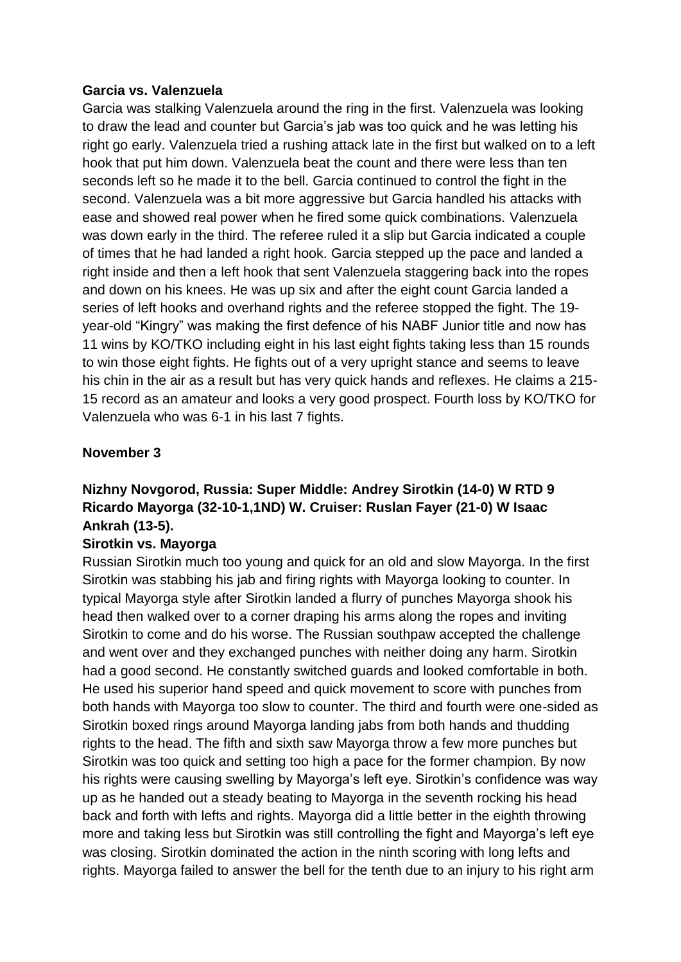#### **Garcia vs. Valenzuela**

Garcia was stalking Valenzuela around the ring in the first. Valenzuela was looking to draw the lead and counter but Garcia's jab was too quick and he was letting his right go early. Valenzuela tried a rushing attack late in the first but walked on to a left hook that put him down. Valenzuela beat the count and there were less than ten seconds left so he made it to the bell. Garcia continued to control the fight in the second. Valenzuela was a bit more aggressive but Garcia handled his attacks with ease and showed real power when he fired some quick combinations. Valenzuela was down early in the third. The referee ruled it a slip but Garcia indicated a couple of times that he had landed a right hook. Garcia stepped up the pace and landed a right inside and then a left hook that sent Valenzuela staggering back into the ropes and down on his knees. He was up six and after the eight count Garcia landed a series of left hooks and overhand rights and the referee stopped the fight. The 19 year-old "Kingry" was making the first defence of his NABF Junior title and now has 11 wins by KO/TKO including eight in his last eight fights taking less than 15 rounds to win those eight fights. He fights out of a very upright stance and seems to leave his chin in the air as a result but has very quick hands and reflexes. He claims a 215- 15 record as an amateur and looks a very good prospect. Fourth loss by KO/TKO for Valenzuela who was 6-1 in his last 7 fights.

### **November 3**

# **Nizhny Novgorod, Russia: Super Middle: Andrey Sirotkin (14-0) W RTD 9 Ricardo Mayorga (32-10-1,1ND) W. Cruiser: Ruslan Fayer (21-0) W Isaac Ankrah (13-5).**

#### **Sirotkin vs. Mayorga**

Russian Sirotkin much too young and quick for an old and slow Mayorga. In the first Sirotkin was stabbing his jab and firing rights with Mayorga looking to counter. In typical Mayorga style after Sirotkin landed a flurry of punches Mayorga shook his head then walked over to a corner draping his arms along the ropes and inviting Sirotkin to come and do his worse. The Russian southpaw accepted the challenge and went over and they exchanged punches with neither doing any harm. Sirotkin had a good second. He constantly switched guards and looked comfortable in both. He used his superior hand speed and quick movement to score with punches from both hands with Mayorga too slow to counter. The third and fourth were one-sided as Sirotkin boxed rings around Mayorga landing jabs from both hands and thudding rights to the head. The fifth and sixth saw Mayorga throw a few more punches but Sirotkin was too quick and setting too high a pace for the former champion. By now his rights were causing swelling by Mayorga's left eye. Sirotkin's confidence was way up as he handed out a steady beating to Mayorga in the seventh rocking his head back and forth with lefts and rights. Mayorga did a little better in the eighth throwing more and taking less but Sirotkin was still controlling the fight and Mayorga's left eye was closing. Sirotkin dominated the action in the ninth scoring with long lefts and rights. Mayorga failed to answer the bell for the tenth due to an injury to his right arm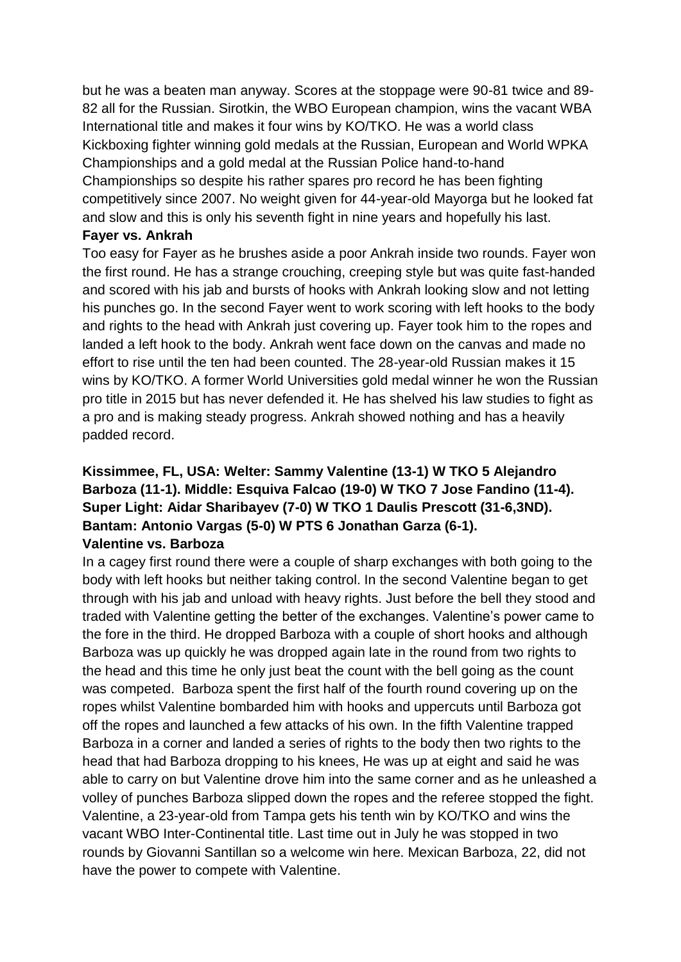but he was a beaten man anyway. Scores at the stoppage were 90-81 twice and 89- 82 all for the Russian. Sirotkin, the WBO European champion, wins the vacant WBA International title and makes it four wins by KO/TKO. He was a world class Kickboxing fighter winning gold medals at the Russian, European and World WPKA Championships and a gold medal at the Russian Police hand-to-hand Championships so despite his rather spares pro record he has been fighting competitively since 2007. No weight given for 44-year-old Mayorga but he looked fat and slow and this is only his seventh fight in nine years and hopefully his last.

#### **Fayer vs. Ankrah**

Too easy for Fayer as he brushes aside a poor Ankrah inside two rounds. Fayer won the first round. He has a strange crouching, creeping style but was quite fast-handed and scored with his jab and bursts of hooks with Ankrah looking slow and not letting his punches go. In the second Fayer went to work scoring with left hooks to the body and rights to the head with Ankrah just covering up. Fayer took him to the ropes and landed a left hook to the body. Ankrah went face down on the canvas and made no effort to rise until the ten had been counted. The 28-year-old Russian makes it 15 wins by KO/TKO. A former World Universities gold medal winner he won the Russian pro title in 2015 but has never defended it. He has shelved his law studies to fight as a pro and is making steady progress. Ankrah showed nothing and has a heavily padded record.

## **Kissimmee, FL, USA: Welter: Sammy Valentine (13-1) W TKO 5 Alejandro Barboza (11-1). Middle: Esquiva Falcao (19-0) W TKO 7 Jose Fandino (11-4). Super Light: Aidar Sharibayev (7-0) W TKO 1 Daulis Prescott (31-6,3ND). Bantam: Antonio Vargas (5-0) W PTS 6 Jonathan Garza (6-1). Valentine vs. Barboza**

In a cagey first round there were a couple of sharp exchanges with both going to the body with left hooks but neither taking control. In the second Valentine began to get through with his jab and unload with heavy rights. Just before the bell they stood and traded with Valentine getting the better of the exchanges. Valentine's power came to the fore in the third. He dropped Barboza with a couple of short hooks and although Barboza was up quickly he was dropped again late in the round from two rights to the head and this time he only just beat the count with the bell going as the count was competed. Barboza spent the first half of the fourth round covering up on the ropes whilst Valentine bombarded him with hooks and uppercuts until Barboza got off the ropes and launched a few attacks of his own. In the fifth Valentine trapped Barboza in a corner and landed a series of rights to the body then two rights to the head that had Barboza dropping to his knees, He was up at eight and said he was able to carry on but Valentine drove him into the same corner and as he unleashed a volley of punches Barboza slipped down the ropes and the referee stopped the fight. Valentine, a 23-year-old from Tampa gets his tenth win by KO/TKO and wins the vacant WBO Inter-Continental title. Last time out in July he was stopped in two rounds by Giovanni Santillan so a welcome win here. Mexican Barboza, 22, did not have the power to compete with Valentine.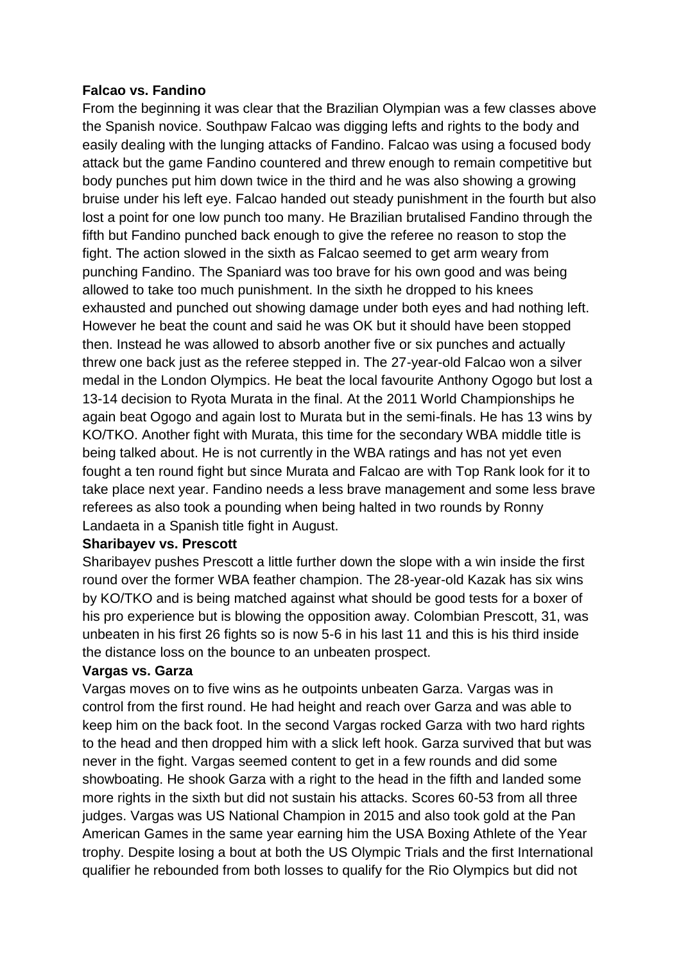### **Falcao vs. Fandino**

From the beginning it was clear that the Brazilian Olympian was a few classes above the Spanish novice. Southpaw Falcao was digging lefts and rights to the body and easily dealing with the lunging attacks of Fandino. Falcao was using a focused body attack but the game Fandino countered and threw enough to remain competitive but body punches put him down twice in the third and he was also showing a growing bruise under his left eye. Falcao handed out steady punishment in the fourth but also lost a point for one low punch too many. He Brazilian brutalised Fandino through the fifth but Fandino punched back enough to give the referee no reason to stop the fight. The action slowed in the sixth as Falcao seemed to get arm weary from punching Fandino. The Spaniard was too brave for his own good and was being allowed to take too much punishment. In the sixth he dropped to his knees exhausted and punched out showing damage under both eyes and had nothing left. However he beat the count and said he was OK but it should have been stopped then. Instead he was allowed to absorb another five or six punches and actually threw one back just as the referee stepped in. The 27-year-old Falcao won a silver medal in the London Olympics. He beat the local favourite Anthony Ogogo but lost a 13-14 decision to Ryota Murata in the final. At the 2011 World Championships he again beat Ogogo and again lost to Murata but in the semi-finals. He has 13 wins by KO/TKO. Another fight with Murata, this time for the secondary WBA middle title is being talked about. He is not currently in the WBA ratings and has not yet even fought a ten round fight but since Murata and Falcao are with Top Rank look for it to take place next year. Fandino needs a less brave management and some less brave referees as also took a pounding when being halted in two rounds by Ronny Landaeta in a Spanish title fight in August.

#### **Sharibayev vs. Prescott**

Sharibayev pushes Prescott a little further down the slope with a win inside the first round over the former WBA feather champion. The 28-year-old Kazak has six wins by KO/TKO and is being matched against what should be good tests for a boxer of his pro experience but is blowing the opposition away. Colombian Prescott, 31, was unbeaten in his first 26 fights so is now 5-6 in his last 11 and this is his third inside the distance loss on the bounce to an unbeaten prospect.

## **Vargas vs. Garza**

Vargas moves on to five wins as he outpoints unbeaten Garza. Vargas was in control from the first round. He had height and reach over Garza and was able to keep him on the back foot. In the second Vargas rocked Garza with two hard rights to the head and then dropped him with a slick left hook. Garza survived that but was never in the fight. Vargas seemed content to get in a few rounds and did some showboating. He shook Garza with a right to the head in the fifth and landed some more rights in the sixth but did not sustain his attacks. Scores 60-53 from all three judges. Vargas was US National Champion in 2015 and also took gold at the Pan American Games in the same year earning him the USA Boxing Athlete of the Year trophy. Despite losing a bout at both the US Olympic Trials and the first International qualifier he rebounded from both losses to qualify for the Rio Olympics but did not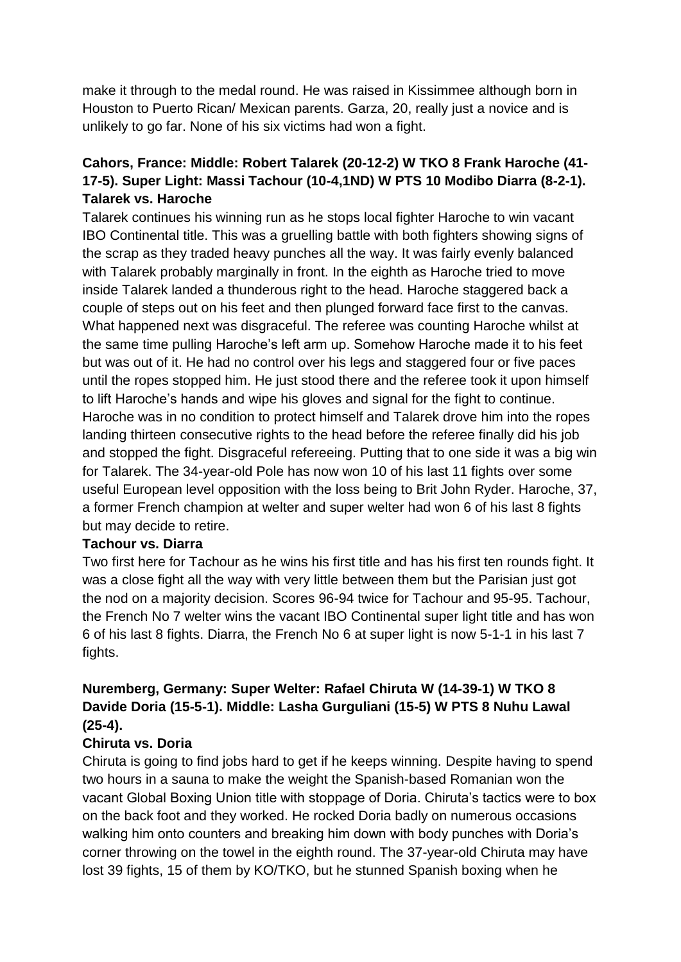make it through to the medal round. He was raised in Kissimmee although born in Houston to Puerto Rican/ Mexican parents. Garza, 20, really just a novice and is unlikely to go far. None of his six victims had won a fight.

# **Cahors, France: Middle: Robert Talarek (20-12-2) W TKO 8 Frank Haroche (41- 17-5). Super Light: Massi Tachour (10-4,1ND) W PTS 10 Modibo Diarra (8-2-1). Talarek vs. Haroche**

Talarek continues his winning run as he stops local fighter Haroche to win vacant IBO Continental title. This was a gruelling battle with both fighters showing signs of the scrap as they traded heavy punches all the way. It was fairly evenly balanced with Talarek probably marginally in front. In the eighth as Haroche tried to move inside Talarek landed a thunderous right to the head. Haroche staggered back a couple of steps out on his feet and then plunged forward face first to the canvas. What happened next was disgraceful. The referee was counting Haroche whilst at the same time pulling Haroche's left arm up. Somehow Haroche made it to his feet but was out of it. He had no control over his legs and staggered four or five paces until the ropes stopped him. He just stood there and the referee took it upon himself to lift Haroche's hands and wipe his gloves and signal for the fight to continue. Haroche was in no condition to protect himself and Talarek drove him into the ropes landing thirteen consecutive rights to the head before the referee finally did his job and stopped the fight. Disgraceful refereeing. Putting that to one side it was a big win for Talarek. The 34-year-old Pole has now won 10 of his last 11 fights over some useful European level opposition with the loss being to Brit John Ryder. Haroche, 37, a former French champion at welter and super welter had won 6 of his last 8 fights but may decide to retire.

#### **Tachour vs. Diarra**

Two first here for Tachour as he wins his first title and has his first ten rounds fight. It was a close fight all the way with very little between them but the Parisian just got the nod on a majority decision. Scores 96-94 twice for Tachour and 95-95. Tachour, the French No 7 welter wins the vacant IBO Continental super light title and has won 6 of his last 8 fights. Diarra, the French No 6 at super light is now 5-1-1 in his last 7 fights.

# **Nuremberg, Germany: Super Welter: Rafael Chiruta W (14-39-1) W TKO 8 Davide Doria (15-5-1). Middle: Lasha Gurguliani (15-5) W PTS 8 Nuhu Lawal (25-4).**

## **Chiruta vs. Doria**

Chiruta is going to find jobs hard to get if he keeps winning. Despite having to spend two hours in a sauna to make the weight the Spanish-based Romanian won the vacant Global Boxing Union title with stoppage of Doria. Chiruta's tactics were to box on the back foot and they worked. He rocked Doria badly on numerous occasions walking him onto counters and breaking him down with body punches with Doria's corner throwing on the towel in the eighth round. The 37-year-old Chiruta may have lost 39 fights, 15 of them by KO/TKO, but he stunned Spanish boxing when he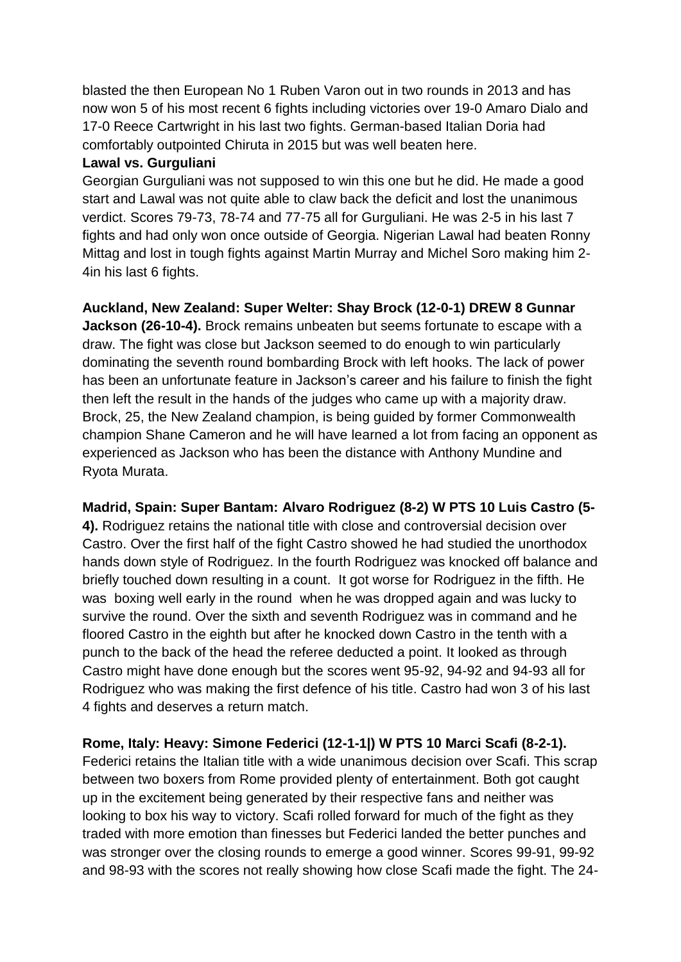blasted the then European No 1 Ruben Varon out in two rounds in 2013 and has now won 5 of his most recent 6 fights including victories over 19-0 Amaro Dialo and 17-0 Reece Cartwright in his last two fights. German-based Italian Doria had comfortably outpointed Chiruta in 2015 but was well beaten here.

### **Lawal vs. Gurguliani**

Georgian Gurguliani was not supposed to win this one but he did. He made a good start and Lawal was not quite able to claw back the deficit and lost the unanimous verdict. Scores 79-73, 78-74 and 77-75 all for Gurguliani. He was 2-5 in his last 7 fights and had only won once outside of Georgia. Nigerian Lawal had beaten Ronny Mittag and lost in tough fights against Martin Murray and Michel Soro making him 2- 4in his last 6 fights.

## **Auckland, New Zealand: Super Welter: Shay Brock (12-0-1) DREW 8 Gunnar**

**Jackson (26-10-4).** Brock remains unbeaten but seems fortunate to escape with a draw. The fight was close but Jackson seemed to do enough to win particularly dominating the seventh round bombarding Brock with left hooks. The lack of power has been an unfortunate feature in Jackson's career and his failure to finish the fight then left the result in the hands of the judges who came up with a majority draw. Brock, 25, the New Zealand champion, is being guided by former Commonwealth champion Shane Cameron and he will have learned a lot from facing an opponent as experienced as Jackson who has been the distance with Anthony Mundine and Ryota Murata.

## **Madrid, Spain: Super Bantam: Alvaro Rodriguez (8-2) W PTS 10 Luis Castro (5-**

**4).** Rodriguez retains the national title with close and controversial decision over Castro. Over the first half of the fight Castro showed he had studied the unorthodox hands down style of Rodriguez. In the fourth Rodriguez was knocked off balance and briefly touched down resulting in a count. It got worse for Rodriguez in the fifth. He was boxing well early in the round when he was dropped again and was lucky to survive the round. Over the sixth and seventh Rodriguez was in command and he floored Castro in the eighth but after he knocked down Castro in the tenth with a punch to the back of the head the referee deducted a point. It looked as through Castro might have done enough but the scores went 95-92, 94-92 and 94-93 all for Rodriguez who was making the first defence of his title. Castro had won 3 of his last 4 fights and deserves a return match.

# **Rome, Italy: Heavy: Simone Federici (12-1-1|) W PTS 10 Marci Scafi (8-2-1).**

Federici retains the Italian title with a wide unanimous decision over Scafi. This scrap between two boxers from Rome provided plenty of entertainment. Both got caught up in the excitement being generated by their respective fans and neither was looking to box his way to victory. Scafi rolled forward for much of the fight as they traded with more emotion than finesses but Federici landed the better punches and was stronger over the closing rounds to emerge a good winner. Scores 99-91, 99-92 and 98-93 with the scores not really showing how close Scafi made the fight. The 24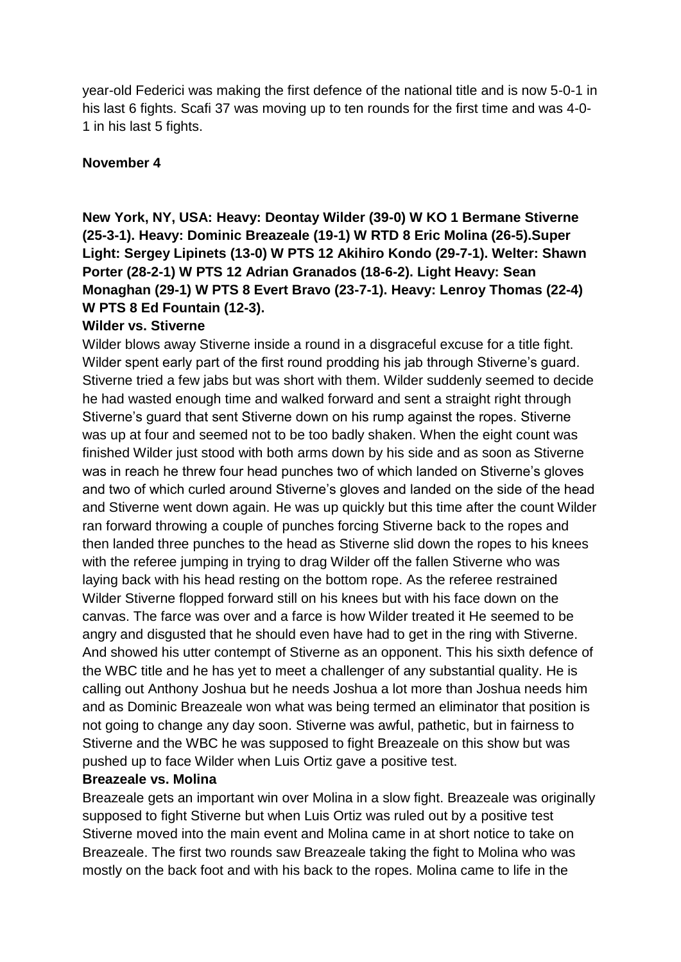year-old Federici was making the first defence of the national title and is now 5-0-1 in his last 6 fights. Scafi 37 was moving up to ten rounds for the first time and was 4-0- 1 in his last 5 fights.

### **November 4**

**New York, NY, USA: Heavy: Deontay Wilder (39-0) W KO 1 Bermane Stiverne (25-3-1). Heavy: Dominic Breazeale (19-1) W RTD 8 Eric Molina (26-5).Super Light: Sergey Lipinets (13-0) W PTS 12 Akihiro Kondo (29-7-1). Welter: Shawn Porter (28-2-1) W PTS 12 Adrian Granados (18-6-2). Light Heavy: Sean Monaghan (29-1) W PTS 8 Evert Bravo (23-7-1). Heavy: Lenroy Thomas (22-4) W PTS 8 Ed Fountain (12-3).**

### **Wilder vs. Stiverne**

Wilder blows away Stiverne inside a round in a disgraceful excuse for a title fight. Wilder spent early part of the first round prodding his jab through Stiverne's guard. Stiverne tried a few jabs but was short with them. Wilder suddenly seemed to decide he had wasted enough time and walked forward and sent a straight right through Stiverne's guard that sent Stiverne down on his rump against the ropes. Stiverne was up at four and seemed not to be too badly shaken. When the eight count was finished Wilder just stood with both arms down by his side and as soon as Stiverne was in reach he threw four head punches two of which landed on Stiverne's gloves and two of which curled around Stiverne's gloves and landed on the side of the head and Stiverne went down again. He was up quickly but this time after the count Wilder ran forward throwing a couple of punches forcing Stiverne back to the ropes and then landed three punches to the head as Stiverne slid down the ropes to his knees with the referee jumping in trying to drag Wilder off the fallen Stiverne who was laying back with his head resting on the bottom rope. As the referee restrained Wilder Stiverne flopped forward still on his knees but with his face down on the canvas. The farce was over and a farce is how Wilder treated it He seemed to be angry and disgusted that he should even have had to get in the ring with Stiverne. And showed his utter contempt of Stiverne as an opponent. This his sixth defence of the WBC title and he has yet to meet a challenger of any substantial quality. He is calling out Anthony Joshua but he needs Joshua a lot more than Joshua needs him and as Dominic Breazeale won what was being termed an eliminator that position is not going to change any day soon. Stiverne was awful, pathetic, but in fairness to Stiverne and the WBC he was supposed to fight Breazeale on this show but was pushed up to face Wilder when Luis Ortiz gave a positive test.

#### **Breazeale vs. Molina**

Breazeale gets an important win over Molina in a slow fight. Breazeale was originally supposed to fight Stiverne but when Luis Ortiz was ruled out by a positive test Stiverne moved into the main event and Molina came in at short notice to take on Breazeale. The first two rounds saw Breazeale taking the fight to Molina who was mostly on the back foot and with his back to the ropes. Molina came to life in the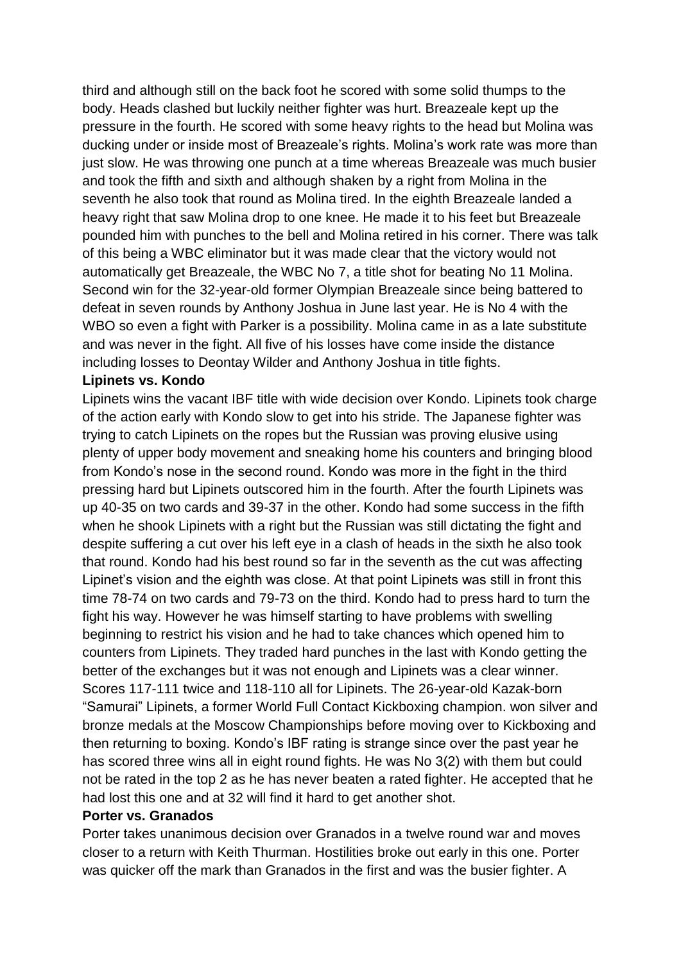third and although still on the back foot he scored with some solid thumps to the body. Heads clashed but luckily neither fighter was hurt. Breazeale kept up the pressure in the fourth. He scored with some heavy rights to the head but Molina was ducking under or inside most of Breazeale's rights. Molina's work rate was more than just slow. He was throwing one punch at a time whereas Breazeale was much busier and took the fifth and sixth and although shaken by a right from Molina in the seventh he also took that round as Molina tired. In the eighth Breazeale landed a heavy right that saw Molina drop to one knee. He made it to his feet but Breazeale pounded him with punches to the bell and Molina retired in his corner. There was talk of this being a WBC eliminator but it was made clear that the victory would not automatically get Breazeale, the WBC No 7, a title shot for beating No 11 Molina. Second win for the 32-year-old former Olympian Breazeale since being battered to defeat in seven rounds by Anthony Joshua in June last year. He is No 4 with the WBO so even a fight with Parker is a possibility. Molina came in as a late substitute and was never in the fight. All five of his losses have come inside the distance including losses to Deontay Wilder and Anthony Joshua in title fights.

#### **Lipinets vs. Kondo**

Lipinets wins the vacant IBF title with wide decision over Kondo. Lipinets took charge of the action early with Kondo slow to get into his stride. The Japanese fighter was trying to catch Lipinets on the ropes but the Russian was proving elusive using plenty of upper body movement and sneaking home his counters and bringing blood from Kondo's nose in the second round. Kondo was more in the fight in the third pressing hard but Lipinets outscored him in the fourth. After the fourth Lipinets was up 40-35 on two cards and 39-37 in the other. Kondo had some success in the fifth when he shook Lipinets with a right but the Russian was still dictating the fight and despite suffering a cut over his left eye in a clash of heads in the sixth he also took that round. Kondo had his best round so far in the seventh as the cut was affecting Lipinet's vision and the eighth was close. At that point Lipinets was still in front this time 78-74 on two cards and 79-73 on the third. Kondo had to press hard to turn the fight his way. However he was himself starting to have problems with swelling beginning to restrict his vision and he had to take chances which opened him to counters from Lipinets. They traded hard punches in the last with Kondo getting the better of the exchanges but it was not enough and Lipinets was a clear winner. Scores 117-111 twice and 118-110 all for Lipinets. The 26-year-old Kazak-born "Samurai" Lipinets, a former World Full Contact Kickboxing champion. won silver and bronze medals at the Moscow Championships before moving over to Kickboxing and then returning to boxing. Kondo's IBF rating is strange since over the past year he has scored three wins all in eight round fights. He was No 3(2) with them but could not be rated in the top 2 as he has never beaten a rated fighter. He accepted that he had lost this one and at 32 will find it hard to get another shot.

#### **Porter vs. Granados**

Porter takes unanimous decision over Granados in a twelve round war and moves closer to a return with Keith Thurman. Hostilities broke out early in this one. Porter was quicker off the mark than Granados in the first and was the busier fighter. A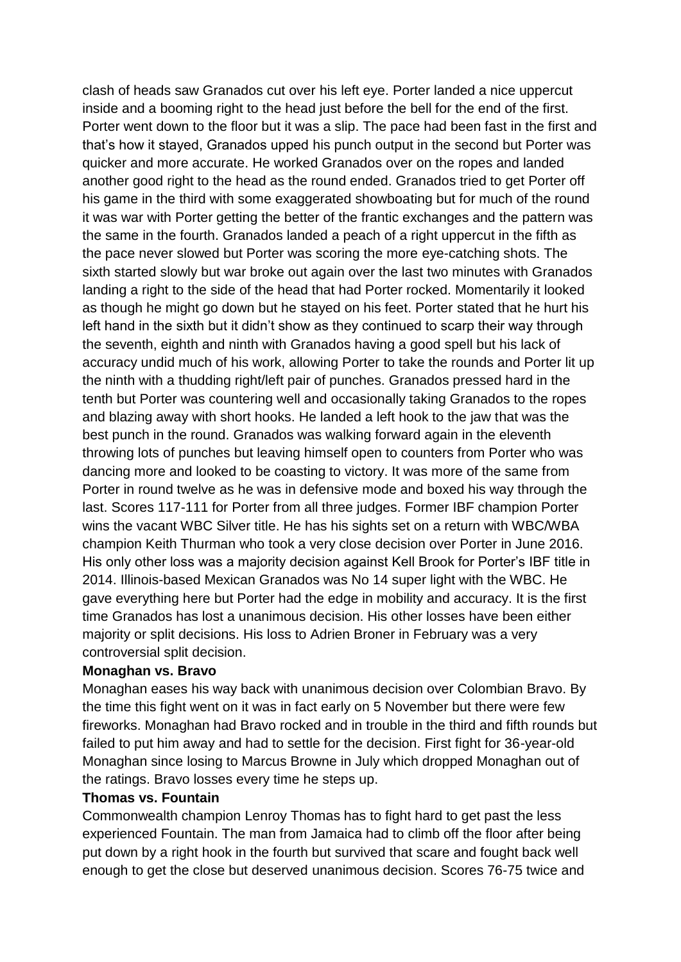clash of heads saw Granados cut over his left eye. Porter landed a nice uppercut inside and a booming right to the head just before the bell for the end of the first. Porter went down to the floor but it was a slip. The pace had been fast in the first and that's how it stayed, Granados upped his punch output in the second but Porter was quicker and more accurate. He worked Granados over on the ropes and landed another good right to the head as the round ended. Granados tried to get Porter off his game in the third with some exaggerated showboating but for much of the round it was war with Porter getting the better of the frantic exchanges and the pattern was the same in the fourth. Granados landed a peach of a right uppercut in the fifth as the pace never slowed but Porter was scoring the more eye-catching shots. The sixth started slowly but war broke out again over the last two minutes with Granados landing a right to the side of the head that had Porter rocked. Momentarily it looked as though he might go down but he stayed on his feet. Porter stated that he hurt his left hand in the sixth but it didn't show as they continued to scarp their way through the seventh, eighth and ninth with Granados having a good spell but his lack of accuracy undid much of his work, allowing Porter to take the rounds and Porter lit up the ninth with a thudding right/left pair of punches. Granados pressed hard in the tenth but Porter was countering well and occasionally taking Granados to the ropes and blazing away with short hooks. He landed a left hook to the jaw that was the best punch in the round. Granados was walking forward again in the eleventh throwing lots of punches but leaving himself open to counters from Porter who was dancing more and looked to be coasting to victory. It was more of the same from Porter in round twelve as he was in defensive mode and boxed his way through the last. Scores 117-111 for Porter from all three judges. Former IBF champion Porter wins the vacant WBC Silver title. He has his sights set on a return with WBC/WBA champion Keith Thurman who took a very close decision over Porter in June 2016. His only other loss was a majority decision against Kell Brook for Porter's IBF title in 2014. Illinois-based Mexican Granados was No 14 super light with the WBC. He gave everything here but Porter had the edge in mobility and accuracy. It is the first time Granados has lost a unanimous decision. His other losses have been either majority or split decisions. His loss to Adrien Broner in February was a very controversial split decision.

#### **Monaghan vs. Bravo**

Monaghan eases his way back with unanimous decision over Colombian Bravo. By the time this fight went on it was in fact early on 5 November but there were few fireworks. Monaghan had Bravo rocked and in trouble in the third and fifth rounds but failed to put him away and had to settle for the decision. First fight for 36-year-old Monaghan since losing to Marcus Browne in July which dropped Monaghan out of the ratings. Bravo losses every time he steps up.

#### **Thomas vs. Fountain**

Commonwealth champion Lenroy Thomas has to fight hard to get past the less experienced Fountain. The man from Jamaica had to climb off the floor after being put down by a right hook in the fourth but survived that scare and fought back well enough to get the close but deserved unanimous decision. Scores 76-75 twice and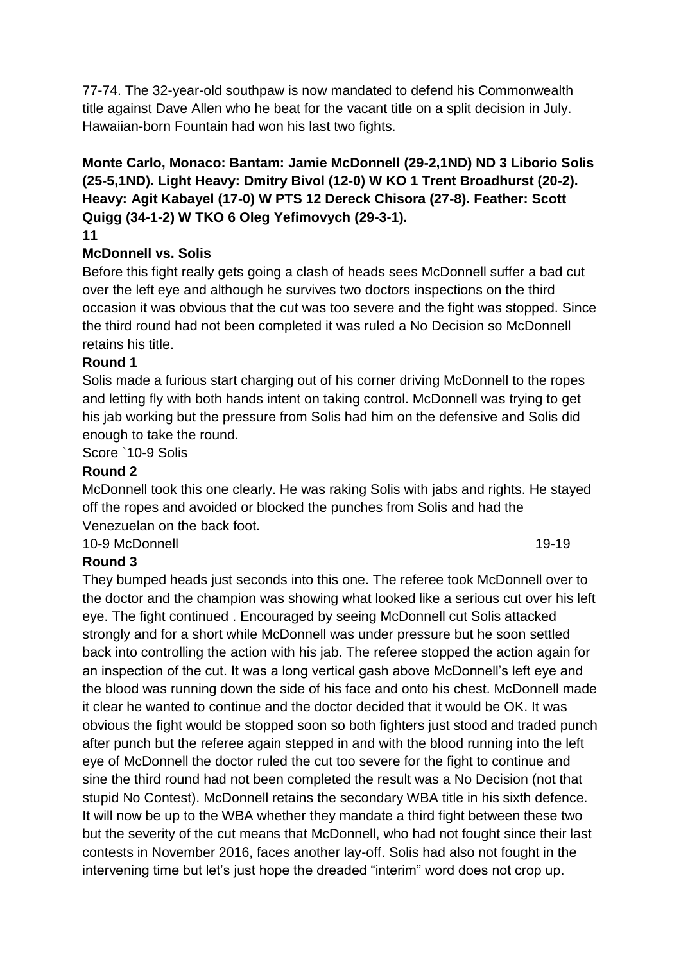77-74. The 32-year-old southpaw is now mandated to defend his Commonwealth title against Dave Allen who he beat for the vacant title on a split decision in July. Hawaiian-born Fountain had won his last two fights.

# **Monte Carlo, Monaco: Bantam: Jamie McDonnell (29-2,1ND) ND 3 Liborio Solis (25-5,1ND). Light Heavy: Dmitry Bivol (12-0) W KO 1 Trent Broadhurst (20-2). Heavy: Agit Kabayel (17-0) W PTS 12 Dereck Chisora (27-8). Feather: Scott Quigg (34-1-2) W TKO 6 Oleg Yefimovych (29-3-1).**

**11**

## **McDonnell vs. Solis**

Before this fight really gets going a clash of heads sees McDonnell suffer a bad cut over the left eye and although he survives two doctors inspections on the third occasion it was obvious that the cut was too severe and the fight was stopped. Since the third round had not been completed it was ruled a No Decision so McDonnell retains his title.

## **Round 1**

Solis made a furious start charging out of his corner driving McDonnell to the ropes and letting fly with both hands intent on taking control. McDonnell was trying to get his jab working but the pressure from Solis had him on the defensive and Solis did enough to take the round.

Score `10-9 Solis

## **Round 2**

McDonnell took this one clearly. He was raking Solis with jabs and rights. He stayed off the ropes and avoided or blocked the punches from Solis and had the Venezuelan on the back foot.

10-9 McDonnell 19-19

## **Round 3**

They bumped heads just seconds into this one. The referee took McDonnell over to the doctor and the champion was showing what looked like a serious cut over his left eye. The fight continued . Encouraged by seeing McDonnell cut Solis attacked strongly and for a short while McDonnell was under pressure but he soon settled back into controlling the action with his jab. The referee stopped the action again for an inspection of the cut. It was a long vertical gash above McDonnell's left eye and the blood was running down the side of his face and onto his chest. McDonnell made it clear he wanted to continue and the doctor decided that it would be OK. It was obvious the fight would be stopped soon so both fighters just stood and traded punch after punch but the referee again stepped in and with the blood running into the left eye of McDonnell the doctor ruled the cut too severe for the fight to continue and sine the third round had not been completed the result was a No Decision (not that stupid No Contest). McDonnell retains the secondary WBA title in his sixth defence. It will now be up to the WBA whether they mandate a third fight between these two but the severity of the cut means that McDonnell, who had not fought since their last contests in November 2016, faces another lay-off. Solis had also not fought in the intervening time but let's just hope the dreaded "interim" word does not crop up.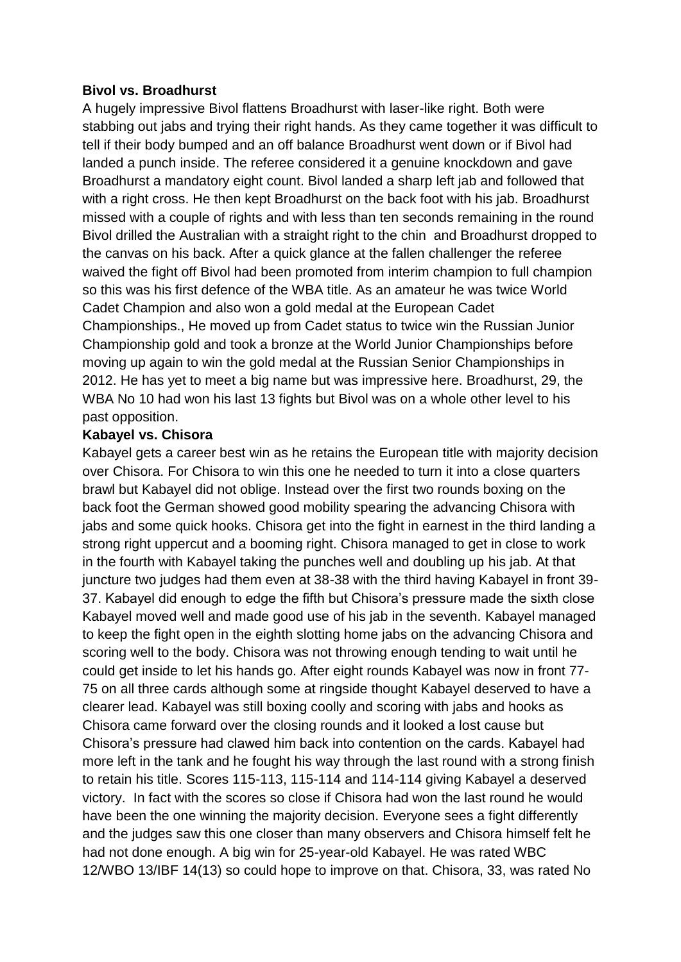#### **Bivol vs. Broadhurst**

A hugely impressive Bivol flattens Broadhurst with laser-like right. Both were stabbing out jabs and trying their right hands. As they came together it was difficult to tell if their body bumped and an off balance Broadhurst went down or if Bivol had landed a punch inside. The referee considered it a genuine knockdown and gave Broadhurst a mandatory eight count. Bivol landed a sharp left jab and followed that with a right cross. He then kept Broadhurst on the back foot with his jab. Broadhurst missed with a couple of rights and with less than ten seconds remaining in the round Bivol drilled the Australian with a straight right to the chin and Broadhurst dropped to the canvas on his back. After a quick glance at the fallen challenger the referee waived the fight off Bivol had been promoted from interim champion to full champion so this was his first defence of the WBA title. As an amateur he was twice World Cadet Champion and also won a gold medal at the European Cadet Championships., He moved up from Cadet status to twice win the Russian Junior Championship gold and took a bronze at the World Junior Championships before moving up again to win the gold medal at the Russian Senior Championships in 2012. He has yet to meet a big name but was impressive here. Broadhurst, 29, the WBA No 10 had won his last 13 fights but Bivol was on a whole other level to his past opposition.

#### **Kabayel vs. Chisora**

Kabayel gets a career best win as he retains the European title with majority decision over Chisora. For Chisora to win this one he needed to turn it into a close quarters brawl but Kabayel did not oblige. Instead over the first two rounds boxing on the back foot the German showed good mobility spearing the advancing Chisora with jabs and some quick hooks. Chisora get into the fight in earnest in the third landing a strong right uppercut and a booming right. Chisora managed to get in close to work in the fourth with Kabayel taking the punches well and doubling up his jab. At that juncture two judges had them even at 38-38 with the third having Kabayel in front 39- 37. Kabayel did enough to edge the fifth but Chisora's pressure made the sixth close Kabayel moved well and made good use of his jab in the seventh. Kabayel managed to keep the fight open in the eighth slotting home jabs on the advancing Chisora and scoring well to the body. Chisora was not throwing enough tending to wait until he could get inside to let his hands go. After eight rounds Kabayel was now in front 77- 75 on all three cards although some at ringside thought Kabayel deserved to have a clearer lead. Kabayel was still boxing coolly and scoring with jabs and hooks as Chisora came forward over the closing rounds and it looked a lost cause but Chisora's pressure had clawed him back into contention on the cards. Kabayel had more left in the tank and he fought his way through the last round with a strong finish to retain his title. Scores 115-113, 115-114 and 114-114 giving Kabayel a deserved victory. In fact with the scores so close if Chisora had won the last round he would have been the one winning the majority decision. Everyone sees a fight differently and the judges saw this one closer than many observers and Chisora himself felt he had not done enough. A big win for 25-year-old Kabayel. He was rated WBC 12/WBO 13/IBF 14(13) so could hope to improve on that. Chisora, 33, was rated No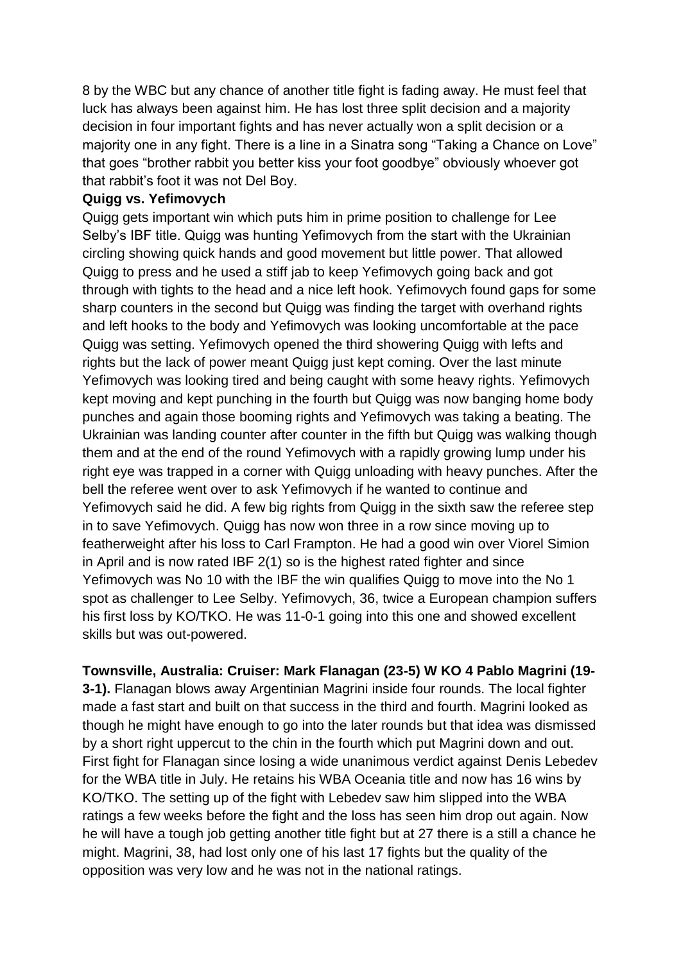8 by the WBC but any chance of another title fight is fading away. He must feel that luck has always been against him. He has lost three split decision and a majority decision in four important fights and has never actually won a split decision or a majority one in any fight. There is a line in a Sinatra song "Taking a Chance on Love" that goes "brother rabbit you better kiss your foot goodbye" obviously whoever got that rabbit's foot it was not Del Boy.

### **Quigg vs. Yefimovych**

Quigg gets important win which puts him in prime position to challenge for Lee Selby's IBF title. Quigg was hunting Yefimovych from the start with the Ukrainian circling showing quick hands and good movement but little power. That allowed Quigg to press and he used a stiff jab to keep Yefimovych going back and got through with tights to the head and a nice left hook. Yefimovych found gaps for some sharp counters in the second but Quigg was finding the target with overhand rights and left hooks to the body and Yefimovych was looking uncomfortable at the pace Quigg was setting. Yefimovych opened the third showering Quigg with lefts and rights but the lack of power meant Quigg just kept coming. Over the last minute Yefimovych was looking tired and being caught with some heavy rights. Yefimovych kept moving and kept punching in the fourth but Quigg was now banging home body punches and again those booming rights and Yefimovych was taking a beating. The Ukrainian was landing counter after counter in the fifth but Quigg was walking though them and at the end of the round Yefimovych with a rapidly growing lump under his right eye was trapped in a corner with Quigg unloading with heavy punches. After the bell the referee went over to ask Yefimovych if he wanted to continue and Yefimovych said he did. A few big rights from Quigg in the sixth saw the referee step in to save Yefimovych. Quigg has now won three in a row since moving up to featherweight after his loss to Carl Frampton. He had a good win over Viorel Simion in April and is now rated IBF 2(1) so is the highest rated fighter and since Yefimovych was No 10 with the IBF the win qualifies Quigg to move into the No 1 spot as challenger to Lee Selby. Yefimovych, 36, twice a European champion suffers his first loss by KO/TKO. He was 11-0-1 going into this one and showed excellent skills but was out-powered.

**Townsville, Australia: Cruiser: Mark Flanagan (23-5) W KO 4 Pablo Magrini (19-**

**3-1).** Flanagan blows away Argentinian Magrini inside four rounds. The local fighter made a fast start and built on that success in the third and fourth. Magrini looked as though he might have enough to go into the later rounds but that idea was dismissed by a short right uppercut to the chin in the fourth which put Magrini down and out. First fight for Flanagan since losing a wide unanimous verdict against Denis Lebedev for the WBA title in July. He retains his WBA Oceania title and now has 16 wins by KO/TKO. The setting up of the fight with Lebedev saw him slipped into the WBA ratings a few weeks before the fight and the loss has seen him drop out again. Now he will have a tough job getting another title fight but at 27 there is a still a chance he might. Magrini, 38, had lost only one of his last 17 fights but the quality of the opposition was very low and he was not in the national ratings.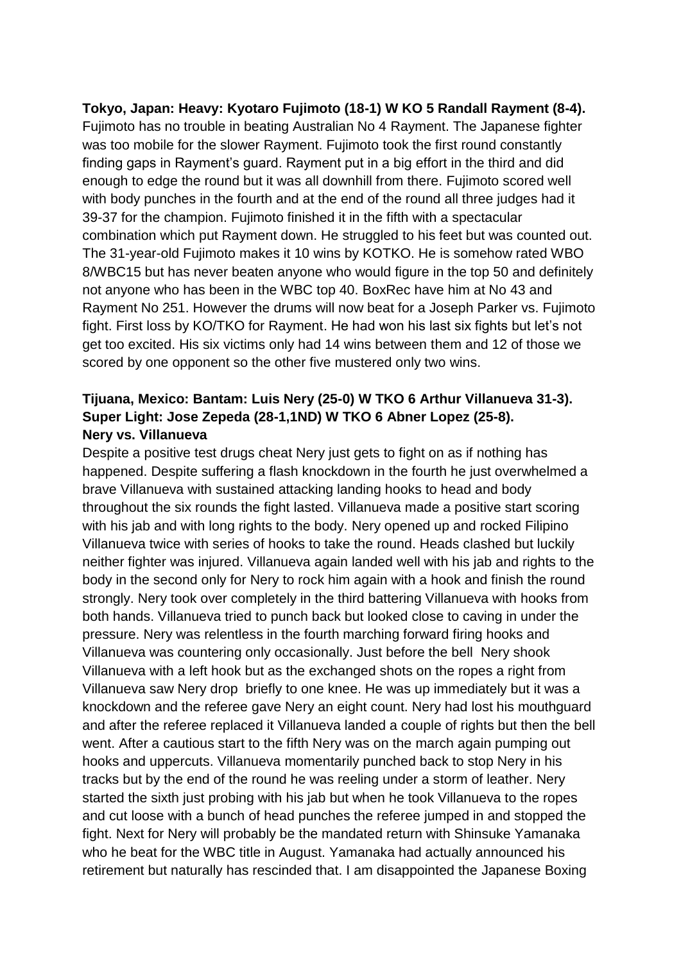**Tokyo, Japan: Heavy: Kyotaro Fujimoto (18-1) W KO 5 Randall Rayment (8-4).** Fujimoto has no trouble in beating Australian No 4 Rayment. The Japanese fighter was too mobile for the slower Rayment. Fujimoto took the first round constantly finding gaps in Rayment's guard. Rayment put in a big effort in the third and did enough to edge the round but it was all downhill from there. Fujimoto scored well with body punches in the fourth and at the end of the round all three judges had it 39-37 for the champion. Fujimoto finished it in the fifth with a spectacular combination which put Rayment down. He struggled to his feet but was counted out. The 31-year-old Fujimoto makes it 10 wins by KOTKO. He is somehow rated WBO 8/WBC15 but has never beaten anyone who would figure in the top 50 and definitely not anyone who has been in the WBC top 40. BoxRec have him at No 43 and Rayment No 251. However the drums will now beat for a Joseph Parker vs. Fujimoto fight. First loss by KO/TKO for Rayment. He had won his last six fights but let's not get too excited. His six victims only had 14 wins between them and 12 of those we scored by one opponent so the other five mustered only two wins.

# **Tijuana, Mexico: Bantam: Luis Nery (25-0) W TKO 6 Arthur Villanueva 31-3). Super Light: Jose Zepeda (28-1,1ND) W TKO 6 Abner Lopez (25-8). Nery vs. Villanueva**

Despite a positive test drugs cheat Nery just gets to fight on as if nothing has happened. Despite suffering a flash knockdown in the fourth he just overwhelmed a brave Villanueva with sustained attacking landing hooks to head and body throughout the six rounds the fight lasted. Villanueva made a positive start scoring with his jab and with long rights to the body. Nery opened up and rocked Filipino Villanueva twice with series of hooks to take the round. Heads clashed but luckily neither fighter was injured. Villanueva again landed well with his jab and rights to the body in the second only for Nery to rock him again with a hook and finish the round strongly. Nery took over completely in the third battering Villanueva with hooks from both hands. Villanueva tried to punch back but looked close to caving in under the pressure. Nery was relentless in the fourth marching forward firing hooks and Villanueva was countering only occasionally. Just before the bell Nery shook Villanueva with a left hook but as the exchanged shots on the ropes a right from Villanueva saw Nery drop briefly to one knee. He was up immediately but it was a knockdown and the referee gave Nery an eight count. Nery had lost his mouthguard and after the referee replaced it Villanueva landed a couple of rights but then the bell went. After a cautious start to the fifth Nery was on the march again pumping out hooks and uppercuts. Villanueva momentarily punched back to stop Nery in his tracks but by the end of the round he was reeling under a storm of leather. Nery started the sixth just probing with his jab but when he took Villanueva to the ropes and cut loose with a bunch of head punches the referee jumped in and stopped the fight. Next for Nery will probably be the mandated return with Shinsuke Yamanaka who he beat for the WBC title in August. Yamanaka had actually announced his retirement but naturally has rescinded that. I am disappointed the Japanese Boxing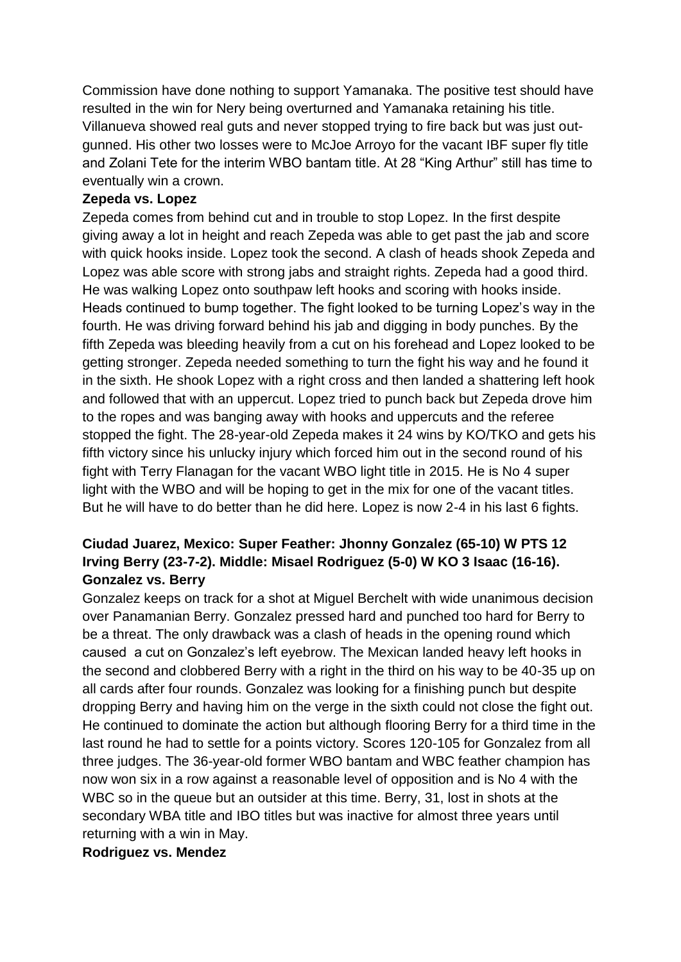Commission have done nothing to support Yamanaka. The positive test should have resulted in the win for Nery being overturned and Yamanaka retaining his title. Villanueva showed real guts and never stopped trying to fire back but was just outgunned. His other two losses were to McJoe Arroyo for the vacant IBF super fly title and Zolani Tete for the interim WBO bantam title. At 28 "King Arthur" still has time to eventually win a crown.

### **Zepeda vs. Lopez**

Zepeda comes from behind cut and in trouble to stop Lopez. In the first despite giving away a lot in height and reach Zepeda was able to get past the jab and score with quick hooks inside. Lopez took the second. A clash of heads shook Zepeda and Lopez was able score with strong jabs and straight rights. Zepeda had a good third. He was walking Lopez onto southpaw left hooks and scoring with hooks inside. Heads continued to bump together. The fight looked to be turning Lopez's way in the fourth. He was driving forward behind his jab and digging in body punches. By the fifth Zepeda was bleeding heavily from a cut on his forehead and Lopez looked to be getting stronger. Zepeda needed something to turn the fight his way and he found it in the sixth. He shook Lopez with a right cross and then landed a shattering left hook and followed that with an uppercut. Lopez tried to punch back but Zepeda drove him to the ropes and was banging away with hooks and uppercuts and the referee stopped the fight. The 28-year-old Zepeda makes it 24 wins by KO/TKO and gets his fifth victory since his unlucky injury which forced him out in the second round of his fight with Terry Flanagan for the vacant WBO light title in 2015. He is No 4 super light with the WBO and will be hoping to get in the mix for one of the vacant titles. But he will have to do better than he did here. Lopez is now 2-4 in his last 6 fights.

# **Ciudad Juarez, Mexico: Super Feather: Jhonny Gonzalez (65-10) W PTS 12 Irving Berry (23-7-2). Middle: Misael Rodriguez (5-0) W KO 3 Isaac (16-16). Gonzalez vs. Berry**

Gonzalez keeps on track for a shot at Miguel Berchelt with wide unanimous decision over Panamanian Berry. Gonzalez pressed hard and punched too hard for Berry to be a threat. The only drawback was a clash of heads in the opening round which caused a cut on Gonzalez's left eyebrow. The Mexican landed heavy left hooks in the second and clobbered Berry with a right in the third on his way to be 40-35 up on all cards after four rounds. Gonzalez was looking for a finishing punch but despite dropping Berry and having him on the verge in the sixth could not close the fight out. He continued to dominate the action but although flooring Berry for a third time in the last round he had to settle for a points victory. Scores 120-105 for Gonzalez from all three judges. The 36-year-old former WBO bantam and WBC feather champion has now won six in a row against a reasonable level of opposition and is No 4 with the WBC so in the queue but an outsider at this time. Berry, 31, lost in shots at the secondary WBA title and IBO titles but was inactive for almost three years until returning with a win in May.

#### **Rodriguez vs. Mendez**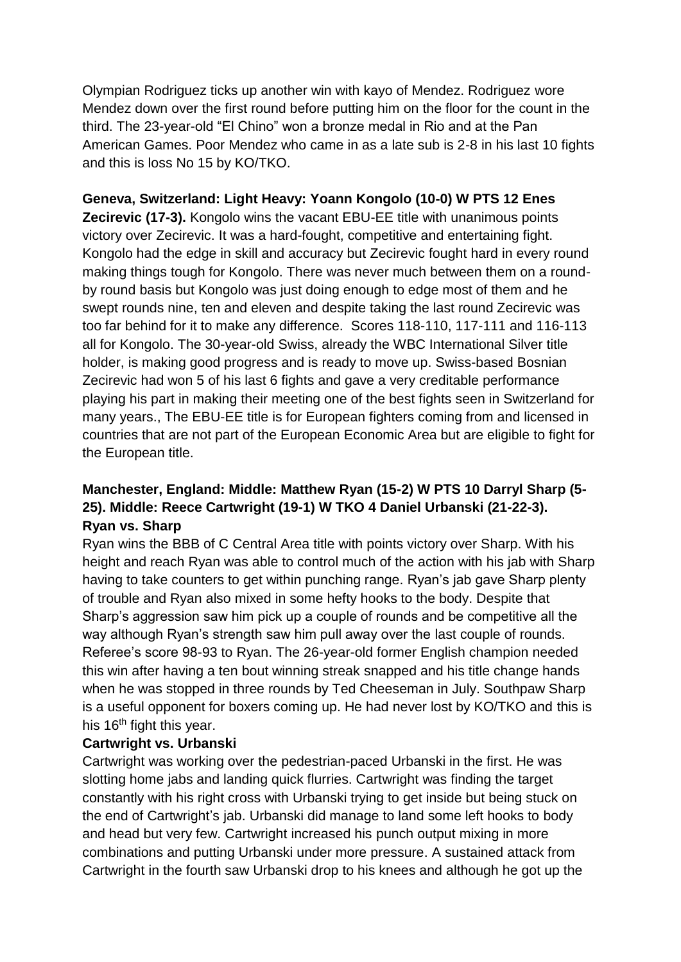Olympian Rodriguez ticks up another win with kayo of Mendez. Rodriguez wore Mendez down over the first round before putting him on the floor for the count in the third. The 23-year-old "El Chino" won a bronze medal in Rio and at the Pan American Games. Poor Mendez who came in as a late sub is 2-8 in his last 10 fights and this is loss No 15 by KO/TKO.

## **Geneva, Switzerland: Light Heavy: Yoann Kongolo (10-0) W PTS 12 Enes**

**Zecirevic (17-3).** Kongolo wins the vacant EBU-EE title with unanimous points victory over Zecirevic. It was a hard-fought, competitive and entertaining fight. Kongolo had the edge in skill and accuracy but Zecirevic fought hard in every round making things tough for Kongolo. There was never much between them on a roundby round basis but Kongolo was just doing enough to edge most of them and he swept rounds nine, ten and eleven and despite taking the last round Zecirevic was too far behind for it to make any difference. Scores 118-110, 117-111 and 116-113 all for Kongolo. The 30-year-old Swiss, already the WBC International Silver title holder, is making good progress and is ready to move up. Swiss-based Bosnian Zecirevic had won 5 of his last 6 fights and gave a very creditable performance playing his part in making their meeting one of the best fights seen in Switzerland for many years., The EBU-EE title is for European fighters coming from and licensed in countries that are not part of the European Economic Area but are eligible to fight for the European title.

# **Manchester, England: Middle: Matthew Ryan (15-2) W PTS 10 Darryl Sharp (5- 25). Middle: Reece Cartwright (19-1) W TKO 4 Daniel Urbanski (21-22-3). Ryan vs. Sharp**

Ryan wins the BBB of C Central Area title with points victory over Sharp. With his height and reach Ryan was able to control much of the action with his jab with Sharp having to take counters to get within punching range. Ryan's jab gave Sharp plenty of trouble and Ryan also mixed in some hefty hooks to the body. Despite that Sharp's aggression saw him pick up a couple of rounds and be competitive all the way although Ryan's strength saw him pull away over the last couple of rounds. Referee's score 98-93 to Ryan. The 26-year-old former English champion needed this win after having a ten bout winning streak snapped and his title change hands when he was stopped in three rounds by Ted Cheeseman in July. Southpaw Sharp is a useful opponent for boxers coming up. He had never lost by KO/TKO and this is his  $16<sup>th</sup>$  fight this year.

## **Cartwright vs. Urbanski**

Cartwright was working over the pedestrian-paced Urbanski in the first. He was slotting home jabs and landing quick flurries. Cartwright was finding the target constantly with his right cross with Urbanski trying to get inside but being stuck on the end of Cartwright's jab. Urbanski did manage to land some left hooks to body and head but very few. Cartwright increased his punch output mixing in more combinations and putting Urbanski under more pressure. A sustained attack from Cartwright in the fourth saw Urbanski drop to his knees and although he got up the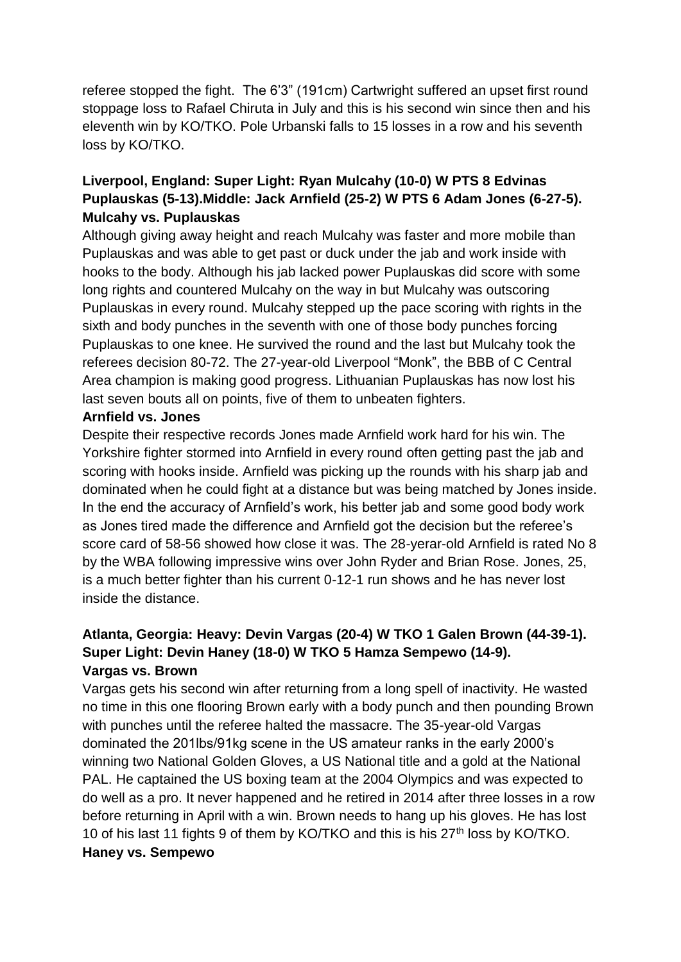referee stopped the fight. The 6'3" (191cm) Cartwright suffered an upset first round stoppage loss to Rafael Chiruta in July and this is his second win since then and his eleventh win by KO/TKO. Pole Urbanski falls to 15 losses in a row and his seventh loss by KO/TKO.

# **Liverpool, England: Super Light: Ryan Mulcahy (10-0) W PTS 8 Edvinas Puplauskas (5-13).Middle: Jack Arnfield (25-2) W PTS 6 Adam Jones (6-27-5). Mulcahy vs. Puplauskas**

Although giving away height and reach Mulcahy was faster and more mobile than Puplauskas and was able to get past or duck under the jab and work inside with hooks to the body. Although his jab lacked power Puplauskas did score with some long rights and countered Mulcahy on the way in but Mulcahy was outscoring Puplauskas in every round. Mulcahy stepped up the pace scoring with rights in the sixth and body punches in the seventh with one of those body punches forcing Puplauskas to one knee. He survived the round and the last but Mulcahy took the referees decision 80-72. The 27-year-old Liverpool "Monk", the BBB of C Central Area champion is making good progress. Lithuanian Puplauskas has now lost his last seven bouts all on points, five of them to unbeaten fighters.

## **Arnfield vs. Jones**

Despite their respective records Jones made Arnfield work hard for his win. The Yorkshire fighter stormed into Arnfield in every round often getting past the jab and scoring with hooks inside. Arnfield was picking up the rounds with his sharp jab and dominated when he could fight at a distance but was being matched by Jones inside. In the end the accuracy of Arnfield's work, his better jab and some good body work as Jones tired made the difference and Arnfield got the decision but the referee's score card of 58-56 showed how close it was. The 28-yerar-old Arnfield is rated No 8 by the WBA following impressive wins over John Ryder and Brian Rose. Jones, 25, is a much better fighter than his current 0-12-1 run shows and he has never lost inside the distance.

# **Atlanta, Georgia: Heavy: Devin Vargas (20-4) W TKO 1 Galen Brown (44-39-1). Super Light: Devin Haney (18-0) W TKO 5 Hamza Sempewo (14-9). Vargas vs. Brown**

Vargas gets his second win after returning from a long spell of inactivity. He wasted no time in this one flooring Brown early with a body punch and then pounding Brown with punches until the referee halted the massacre. The 35-year-old Vargas dominated the 201lbs/91kg scene in the US amateur ranks in the early 2000's winning two National Golden Gloves, a US National title and a gold at the National PAL. He captained the US boxing team at the 2004 Olympics and was expected to do well as a pro. It never happened and he retired in 2014 after three losses in a row before returning in April with a win. Brown needs to hang up his gloves. He has lost 10 of his last 11 fights 9 of them by KO/TKO and this is his 27<sup>th</sup> loss by KO/TKO. **Haney vs. Sempewo**